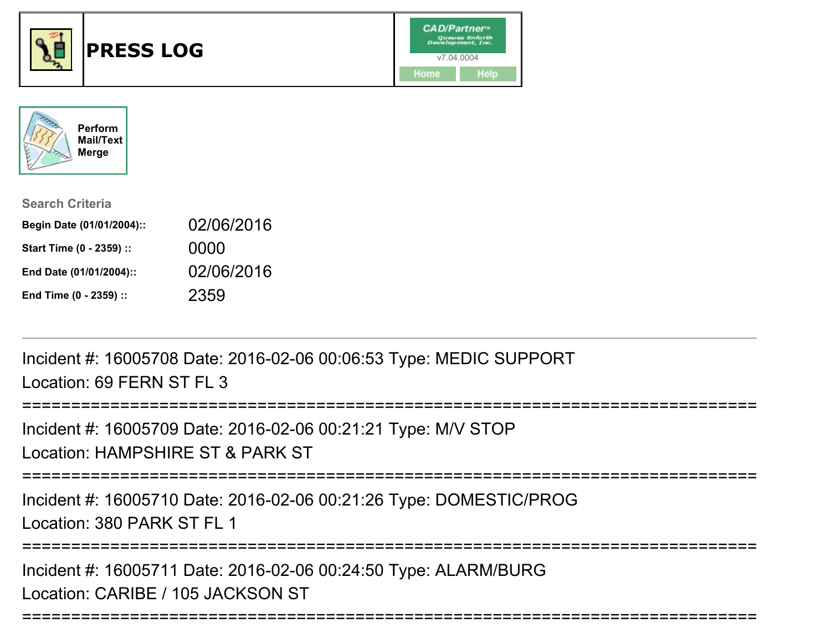



| <b>Search Criteria</b>    |            |
|---------------------------|------------|
| Begin Date (01/01/2004):: | 02/06/2016 |
| Start Time (0 - 2359) ::  | 0000       |
| End Date (01/01/2004)::   | 02/06/2016 |
| End Time (0 - 2359) ::    | 2359       |

Incident #: 16005708 Date: 2016-02-06 00:06:53 Type: MEDIC SUPPORTLocation: 69 FFRN ST FL 3

============== Incident #: 16005709 Date: 2016-02-06 00:21:21 Type: M/V STOPLocation: HAMPSHIRE ST & PARK ST===========================================================================Incident #: 16005710 Date: 2016-02-06 00:21:26 Type: DOMESTIC/PROGLocation: 380 PARK ST FL 1===========================================================================

===========================================================================

Incident #: 16005711 Date: 2016-02-06 00:24:50 Type: ALARM/BURGLocation: CARIBE / 105 JACKSON ST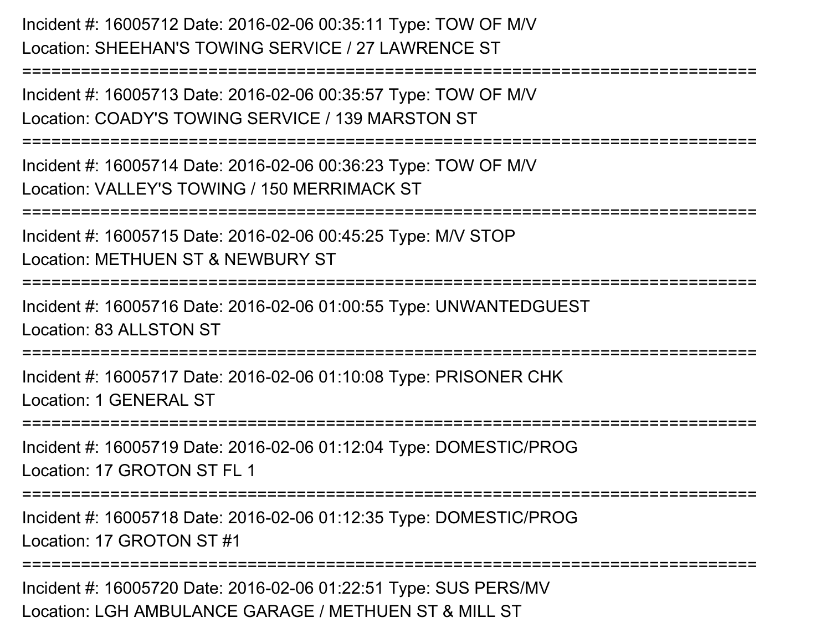Incident #: 16005712 Date: 2016-02-06 00:35:11 Type: TOW OF M/VLocation: SHEEHAN'S TOWING SERVICE / 27 LAWRENCE ST

Incident #: 16005713 Date: 2016-02-06 00:35:57 Type: TOW OF M/VLocation: COADY'S TOWING SERVICE / 139 MARSTON ST

===========================================================================

===========================================================================

Incident #: 16005714 Date: 2016-02-06 00:36:23 Type: TOW OF M/VLocation: VALLEY'S TOWING / 150 MERRIMACK ST

===========================================================================

Incident #: 16005715 Date: 2016-02-06 00:45:25 Type: M/V STOP

Location: METHUEN ST & NEWBURY ST

===========================================================================

Incident #: 16005716 Date: 2016-02-06 01:00:55 Type: UNWANTEDGUESTLocation: 83 ALLSTON ST

===========================================================================

Incident #: 16005717 Date: 2016-02-06 01:10:08 Type: PRISONER CHKLocation: 1 GENERAL ST

===========================================================================

Incident #: 16005719 Date: 2016-02-06 01:12:04 Type: DOMESTIC/PROGLocation: 17 GROTON ST FL 1

===========================================================================

Incident #: 16005718 Date: 2016-02-06 01:12:35 Type: DOMESTIC/PROGLocation: 17 GROTON ST #1

**==============** 

Incident #: 16005720 Date: 2016-02-06 01:22:51 Type: SUS PERS/MVLocation: LGH AMBULANCE GARAGE / METHUEN ST & MILL ST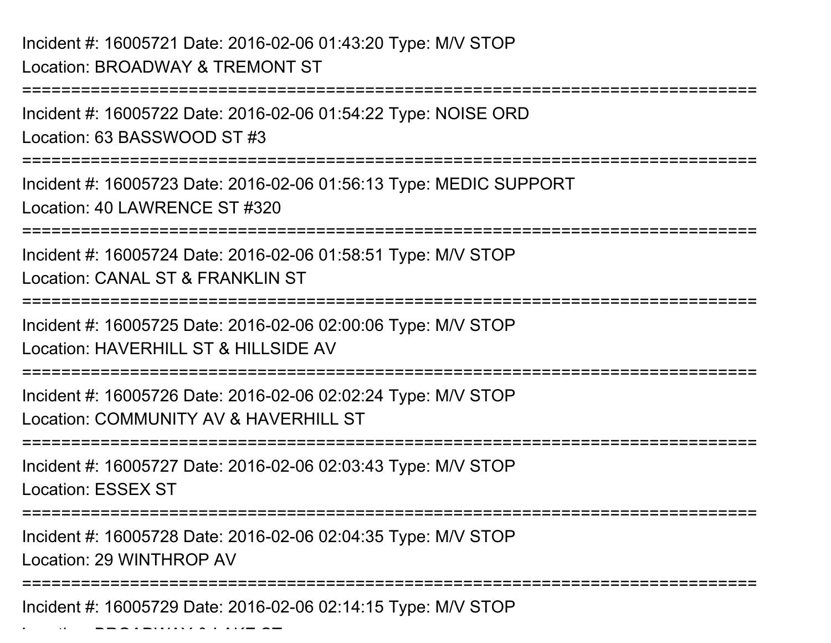Location: BROADWAY & LAKE ST

===========================================================================Incident #: 16005722 Date: 2016-02-06 01:54:22 Type: NOISE ORDLocation: 63 BASSWOOD ST #3===========================================================================Incident #: 16005723 Date: 2016-02-06 01:56:13 Type: MEDIC SUPPORTLocation: 40 LAWRENCE ST #320===========================================================================Incident #: 16005724 Date: 2016-02-06 01:58:51 Type: M/V STOPLocation: CANAL ST & FRANKLIN ST ===========================================================================Incident #: 16005725 Date: 2016-02-06 02:00:06 Type: M/V STOPLocation: HAVERHILL ST & HILLSIDE AV ===========================================================================Incident #: 16005726 Date: 2016-02-06 02:02:24 Type: M/V STOPLocation: COMMUNITY AV & HAVERHILL ST===========================================================================Incident #: 16005727 Date: 2016-02-06 02:03:43 Type: M/V STOPLocation: ESSEX ST===========================================================================Incident #: 16005728 Date: 2016-02-06 02:04:35 Type: M/V STOPLocation: 29 WINTHROP AV ===========================================================================Incident #: 16005729 Date: 2016-02-06 02:14:15 Type: M/V STOP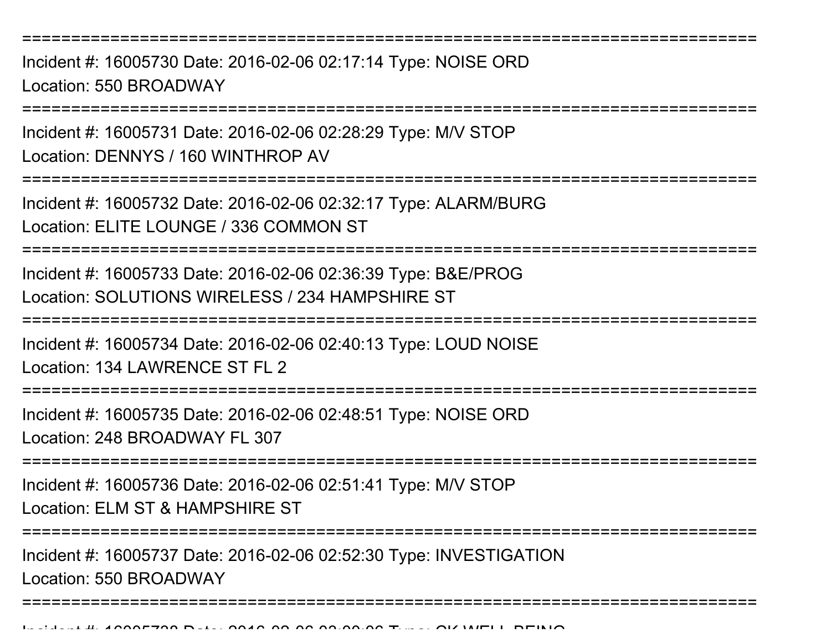Incident #: 16005730 Date: 2016-02-06 02:17:14 Type: NOISE ORDLocation: 550 BROADWAY

===========================================================================

Incident #: 16005731 Date: 2016-02-06 02:28:29 Type: M/V STOPLocation: DENNYS / 160 WINTHROP AV

===========================================================================

Incident #: 16005732 Date: 2016-02-06 02:32:17 Type: ALARM/BURGLocation: ELITE LOUNGE / 336 COMMON ST

===========================================================================

Incident #: 16005733 Date: 2016-02-06 02:36:39 Type: B&E/PROGLocation: SOLUTIONS WIRELESS / 234 HAMPSHIRE ST

===========================================================================

Incident #: 16005734 Date: 2016-02-06 02:40:13 Type: LOUD NOISE

Location: 134 LAWRENCE ST FL 2

===========================================================================

Incident #: 16005735 Date: 2016-02-06 02:48:51 Type: NOISE ORDLocation: 248 BROADWAY FL 307

===========================================================================

Incident #: 16005736 Date: 2016-02-06 02:51:41 Type: M/V STOPLocation: ELM ST & HAMPSHIRE ST

===========================================================================

===========================================================================

Incident #: 16005737 Date: 2016-02-06 02:52:30 Type: INVESTIGATIONLocation: 550 BROADWAY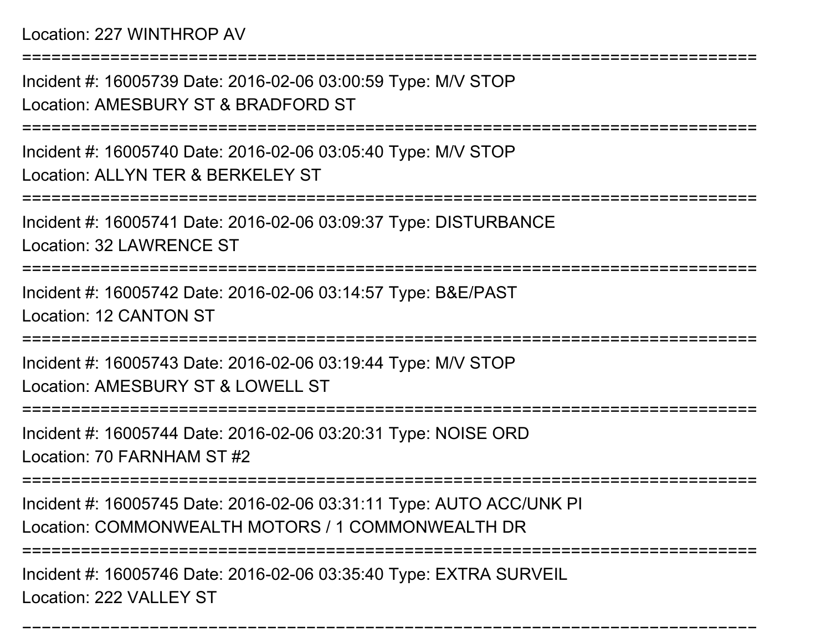Location: 227 WINTHROP AV

===========================================================================Incident #: 16005739 Date: 2016-02-06 03:00:59 Type: M/V STOPLocation: AMESBURY ST & BRADFORD ST===========================================================================Incident #: 16005740 Date: 2016-02-06 03:05:40 Type: M/V STOPLocation: ALLYN TER & BERKELEY ST ===========================================================================Incident #: 16005741 Date: 2016-02-06 03:09:37 Type: DISTURBANCELocation: 32 LAWRENCE ST===========================================================================Incident #: 16005742 Date: 2016-02-06 03:14:57 Type: B&E/PASTLocation: 12 CANTON ST===========================================================================Incident #: 16005743 Date: 2016-02-06 03:19:44 Type: M/V STOPLocation: AMESBURY ST & LOWELL ST===========================================================================Incident #: 16005744 Date: 2016-02-06 03:20:31 Type: NOISE ORDLocation: 70 FARNHAM ST #2===========================================================================Incident #: 16005745 Date: 2016-02-06 03:31:11 Type: AUTO ACC/UNK PILocation: COMMONWEALTH MOTORS / 1 COMMONWEALTH DR ===========================================================================Incident #: 16005746 Date: 2016-02-06 03:35:40 Type: EXTRA SURVEIL

===========================================================================

Location: 222 VALLEY ST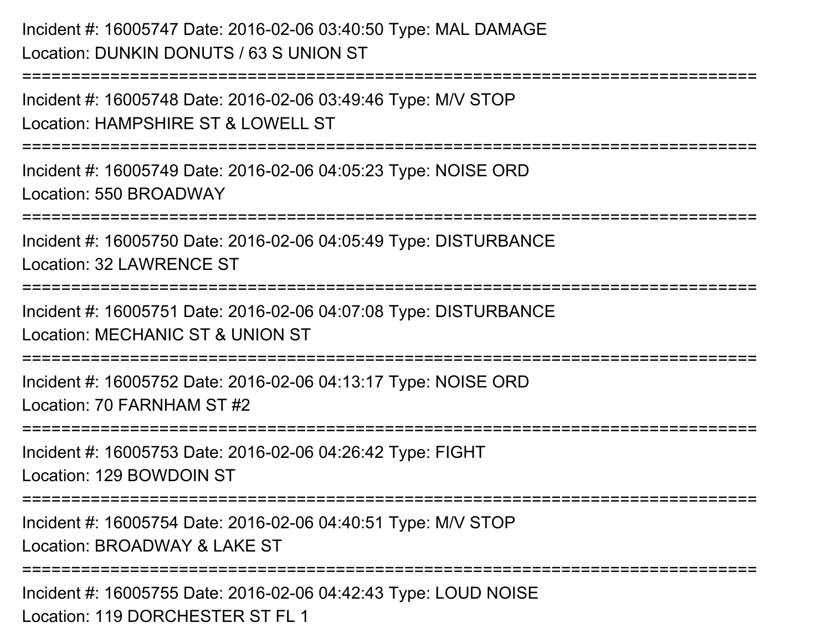Incident #: 16005747 Date: 2016-02-06 03:40:50 Type: MAL DAMAGELocation: DUNKIN DONUTS / 63 S UNION ST===========================================================================Incident #: 16005748 Date: 2016-02-06 03:49:46 Type: M/V STOP

Location: HAMPSHIRE ST & LOWELL ST

===========================================================================

Incident #: 16005749 Date: 2016-02-06 04:05:23 Type: NOISE ORDLocation: 550 BROADWAY

===========================================================================

Incident #: 16005750 Date: 2016-02-06 04:05:49 Type: DISTURBANCELocation: 32 LAWRENCE ST

===========================================================================

Incident #: 16005751 Date: 2016-02-06 04:07:08 Type: DISTURBANCELocation: MECHANIC ST & UNION ST

===========================================================================

Incident #: 16005752 Date: 2016-02-06 04:13:17 Type: NOISE ORDLocation: 70 FARNHAM ST #2

===========================================================================

Incident #: 16005753 Date: 2016-02-06 04:26:42 Type: FIGHTLocation: 129 BOWDOIN ST

===========================================================================

===========================================================================

Incident #: 16005754 Date: 2016-02-06 04:40:51 Type: M/V STOPLocation: BROADWAY & LAKE ST

Incident #: 16005755 Date: 2016-02-06 04:42:43 Type: LOUD NOISELocation: 119 DORCHESTER ST FL 1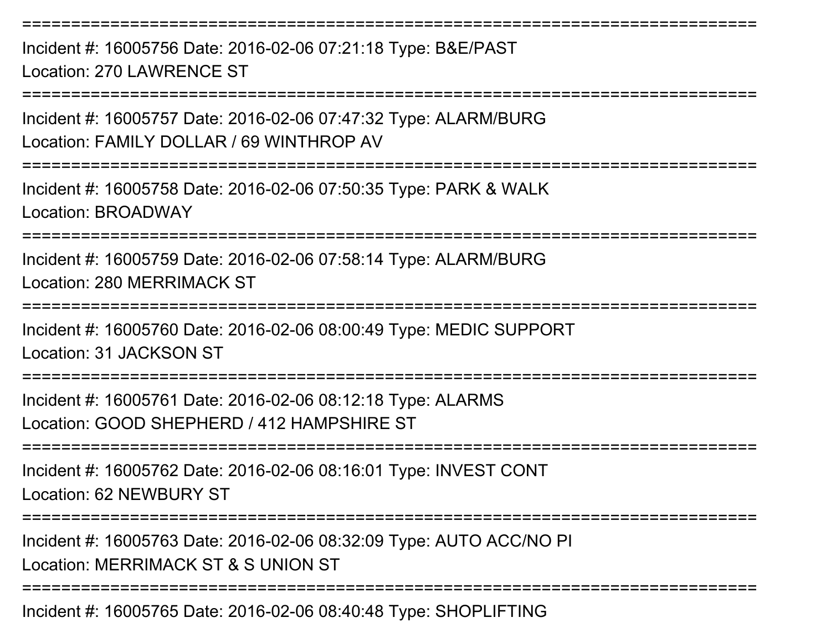Incident #: 16005756 Date: 2016-02-06 07:21:18 Type: B&E/PASTLocation: 270 LAWRENCE ST

===========================================================================

===========================================================================

Incident #: 16005757 Date: 2016-02-06 07:47:32 Type: ALARM/BURGLocation: FAMILY DOLLAR / 69 WINTHROP AV

===========================================================================

Incident #: 16005758 Date: 2016-02-06 07:50:35 Type: PARK & WALKLocation: BROADWAY

===========================================================================

Incident #: 16005759 Date: 2016-02-06 07:58:14 Type: ALARM/BURGLocation: 280 MERRIMACK ST

===========================================================================

Incident #: 16005760 Date: 2016-02-06 08:00:49 Type: MEDIC SUPPORTLocation: 31 JACKSON ST

===========================================================================

Incident #: 16005761 Date: 2016-02-06 08:12:18 Type: ALARMSLocation: GOOD SHEPHERD / 412 HAMPSHIRE ST

===========================================================================

Incident #: 16005762 Date: 2016-02-06 08:16:01 Type: INVEST CONTLocation: 62 NEWBURY ST

===========================================================================

Incident #: 16005763 Date: 2016-02-06 08:32:09 Type: AUTO ACC/NO PILocation: MERRIMACK ST & S UNION ST

===========================================================================

Incident #: 16005765 Date: 2016-02-06 08:40:48 Type: SHOPLIFTING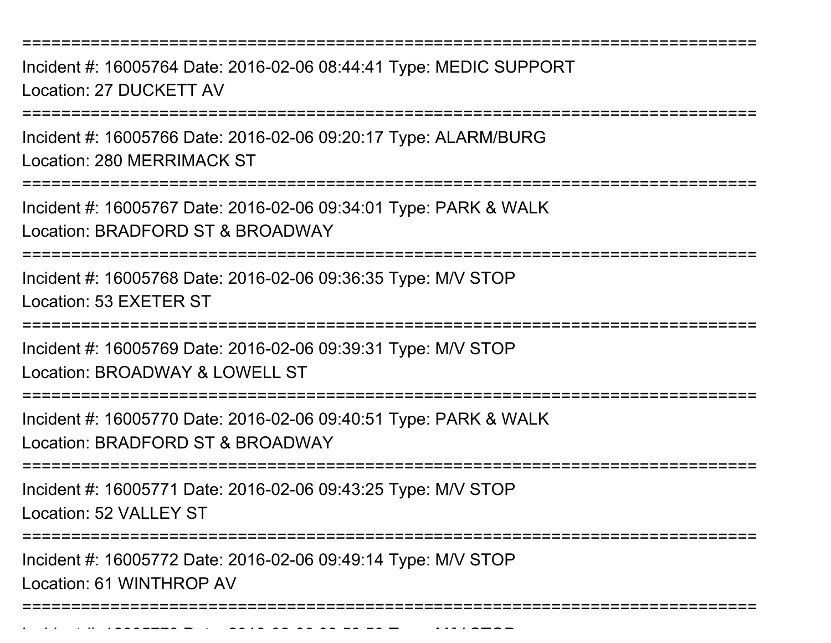Incident #: 16005764 Date: 2016-02-06 08:44:41 Type: MEDIC SUPPORTLocation: 27 DUCKETT AV

===========================================================================

Incident #: 16005766 Date: 2016-02-06 09:20:17 Type: ALARM/BURGLocation: 280 MERRIMACK ST

===========================================================================

Incident #: 16005767 Date: 2016-02-06 09:34:01 Type: PARK & WALKLocation: BRADFORD ST & BROADWAY

===========================================================================

Incident #: 16005768 Date: 2016-02-06 09:36:35 Type: M/V STOPLocation: 53 EXETER ST

===========================================================================

Incident #: 16005769 Date: 2016-02-06 09:39:31 Type: M/V STOPLocation: BROADWAY & LOWELL ST

===========================================================================

Incident #: 16005770 Date: 2016-02-06 09:40:51 Type: PARK & WALKLocation: BRADFORD ST & BROADWAY

===========================================================================

Incident #: 16005771 Date: 2016-02-06 09:43:25 Type: M/V STOP

Location: 52 VALLEY ST

===========================================================================

Incident #: 16005772 Date: 2016-02-06 09:49:14 Type: M/V STOP

Location: 61 WINTHROP AV

Incident #: 16005773 Date: 2016

===========================================================================

<sup>02</sup> 06 09:53:53 Type: M/V STOP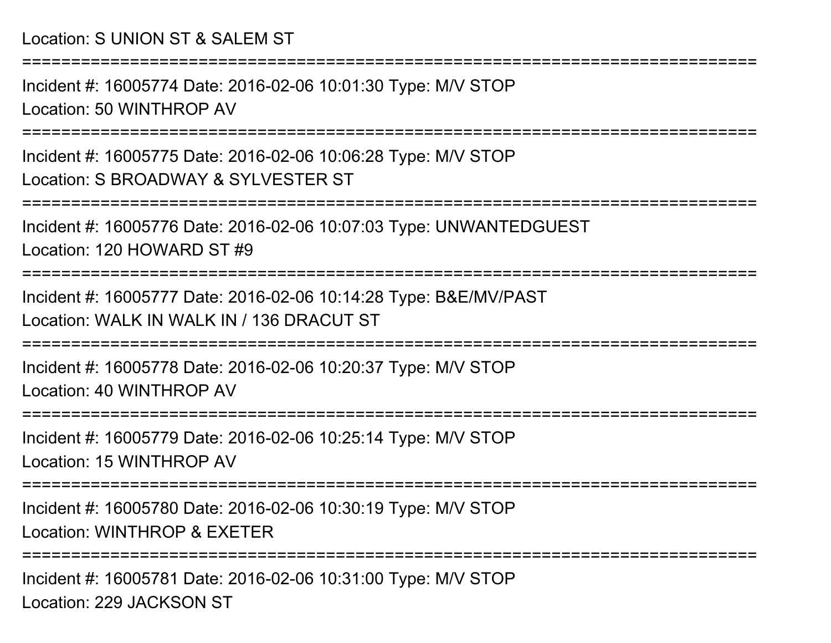## Location: S UNION ST & SALEM ST

===========================================================================

Incident #: 16005774 Date: 2016-02-06 10:01:30 Type: M/V STOPLocation: 50 WINTHROP AV

===========================================================================

Incident #: 16005775 Date: 2016-02-06 10:06:28 Type: M/V STOPLocation: S BROADWAY & SYLVESTER ST

===========================================================================

Incident #: 16005776 Date: 2016-02-06 10:07:03 Type: UNWANTEDGUESTLocation: 120 HOWARD ST #9

===========================================================================

Incident #: 16005777 Date: 2016-02-06 10:14:28 Type: B&E/MV/PASTLocation: WALK IN WALK IN / 136 DRACUT ST

===========================================================================

Incident #: 16005778 Date: 2016-02-06 10:20:37 Type: M/V STOPLocation: 40 WINTHROP AV

==============================

Incident #: 16005779 Date: 2016-02-06 10:25:14 Type: M/V STOPLocation: 15 WINTHROP AV

===========================================================================

===========================================================================

Incident #: 16005780 Date: 2016-02-06 10:30:19 Type: M/V STOPLocation: WINTHROP & EXETER

Incident #: 16005781 Date: 2016-02-06 10:31:00 Type: M/V STOPLocation: 229 JACKSON ST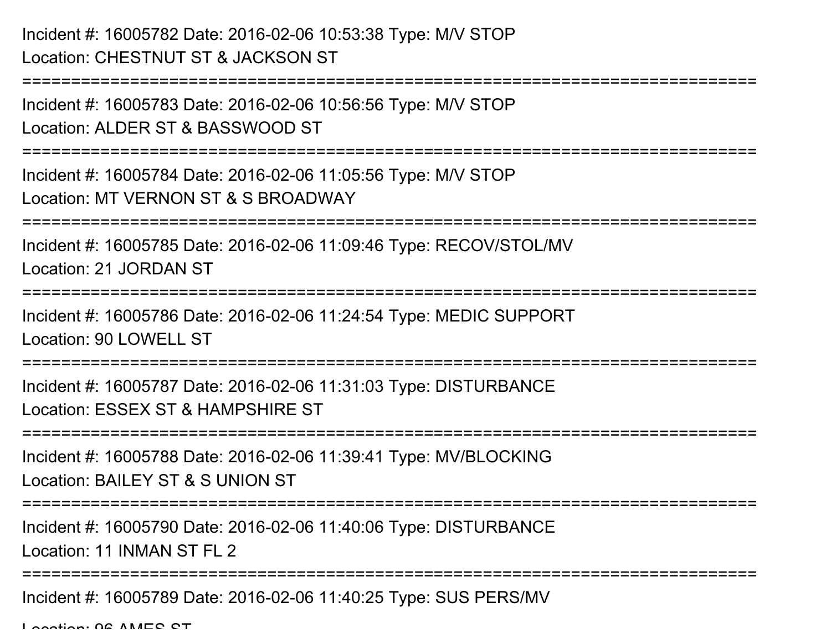## Incident #: 16005782 Date: 2016-02-06 10:53:38 Type: M/V STOPLocation: CHESTNUT ST & JACKSON ST

```
===========================================================================Incident #: 16005783 Date: 2016-02-06 10:56:56 Type: M/V STOPLocation: ALDER ST & BASSWOOD ST===========================================================================Incident #: 16005784 Date: 2016-02-06 11:05:56 Type: M/V STOPLocation: MT VERNON ST & S BROADWAY
===========================================================================Incident #: 16005785 Date: 2016-02-06 11:09:46 Type: RECOV/STOL/MVLocation: 21 JORDAN ST===========================================================================Incident #: 16005786 Date: 2016-02-06 11:24:54 Type: MEDIC SUPPORTLocation: 90 LOWELL ST===========================================================================Incident #: 16005787 Date: 2016-02-06 11:31:03 Type: DISTURBANCELocation: ESSEX ST & HAMPSHIRE ST===========================================================================Incident #: 16005788 Date: 2016-02-06 11:39:41 Type: MV/BLOCKINGLocation: BAILEY ST & S UNION ST===========================================================================Incident #: 16005790 Date: 2016-02-06 11:40:06 Type: DISTURBANCELocation: 11 INMAN ST FL 2===========================================================================Incident #: 16005789 Date: 2016-02-06 11:40:25 Type: SUS PERS/MV
```
Location: 06 AMES ST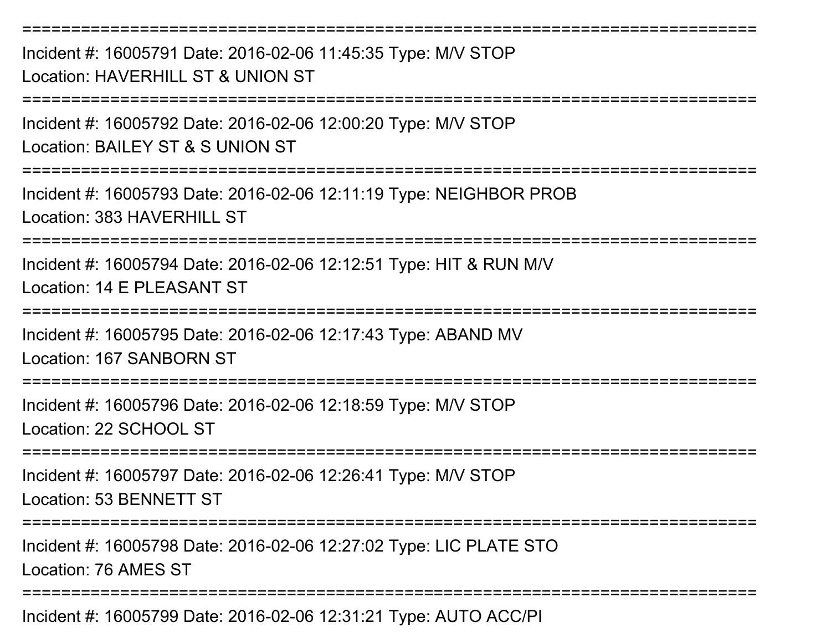===========================================================================Incident #: 16005791 Date: 2016-02-06 11:45:35 Type: M/V STOPLocation: HAVERHILL ST & UNION ST===========================================================================Incident #: 16005792 Date: 2016-02-06 12:00:20 Type: M/V STOPLocation: BAILEY ST & S UNION ST===========================================================================Incident #: 16005793 Date: 2016-02-06 12:11:19 Type: NEIGHBOR PROBLocation: 383 HAVERHILL ST===========================================================================Incident #: 16005794 Date: 2016-02-06 12:12:51 Type: HIT & RUN M/VLocation: 14 F PLEASANT ST ===========================================================================Incident #: 16005795 Date: 2016-02-06 12:17:43 Type: ABAND MVLocation: 167 SANBORN ST===========================================================================Incident #: 16005796 Date: 2016-02-06 12:18:59 Type: M/V STOPLocation: 22 SCHOOL ST===========================================================================Incident #: 16005797 Date: 2016-02-06 12:26:41 Type: M/V STOPLocation: 53 BENNETT ST===========================================================================Incident #: 16005798 Date: 2016-02-06 12:27:02 Type: LIC PLATE STO

Location: 76 AMES ST

===========================================================================

Incident #: 16005799 Date: 2016-02-06 12:31:21 Type: AUTO ACC/PI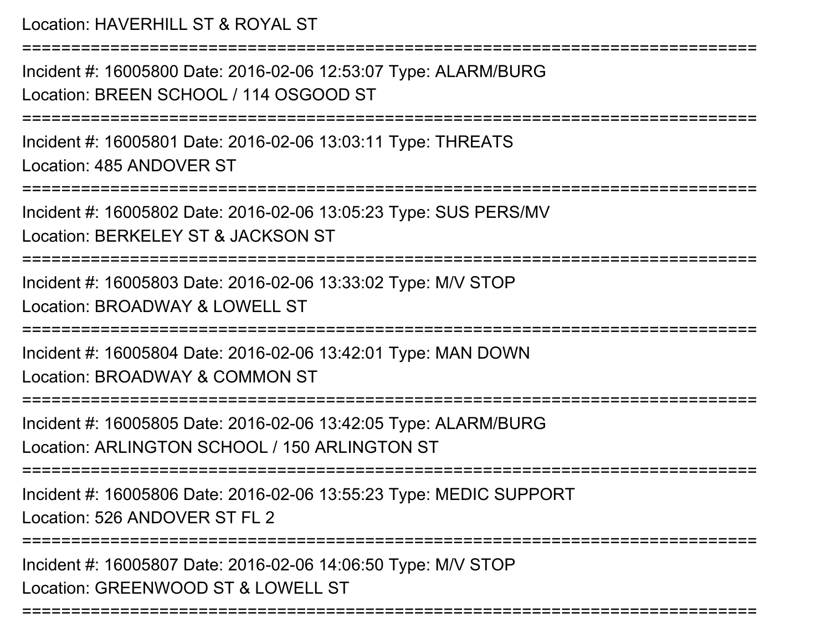Location: HAVERHILL ST & ROYAL ST

===========================================================================

Incident #: 16005800 Date: 2016-02-06 12:53:07 Type: ALARM/BURGLocation: BREEN SCHOOL / 114 OSGOOD ST

===========================================================================

Incident #: 16005801 Date: 2016-02-06 13:03:11 Type: THREATSLocation: 485 ANDOVER ST

===========================================================================

Incident #: 16005802 Date: 2016-02-06 13:05:23 Type: SUS PERS/MVLocation: BERKELEY ST & JACKSON ST

===========================================================================

Incident #: 16005803 Date: 2016-02-06 13:33:02 Type: M/V STOPLocation: BROADWAY & LOWELL ST

===========================================================================

Incident #: 16005804 Date: 2016-02-06 13:42:01 Type: MAN DOWN

Location: BROADWAY & COMMON ST

===========================================================================

Incident #: 16005805 Date: 2016-02-06 13:42:05 Type: ALARM/BURGLocation: ARLINGTON SCHOOL / 150 ARLINGTON ST

===========================================================================

Incident #: 16005806 Date: 2016-02-06 13:55:23 Type: MEDIC SUPPORTLocation: 526 ANDOVER ST FL 2

===========================================================================

===========================================================================

Incident #: 16005807 Date: 2016-02-06 14:06:50 Type: M/V STOPLocation: GREENWOOD ST & LOWELL ST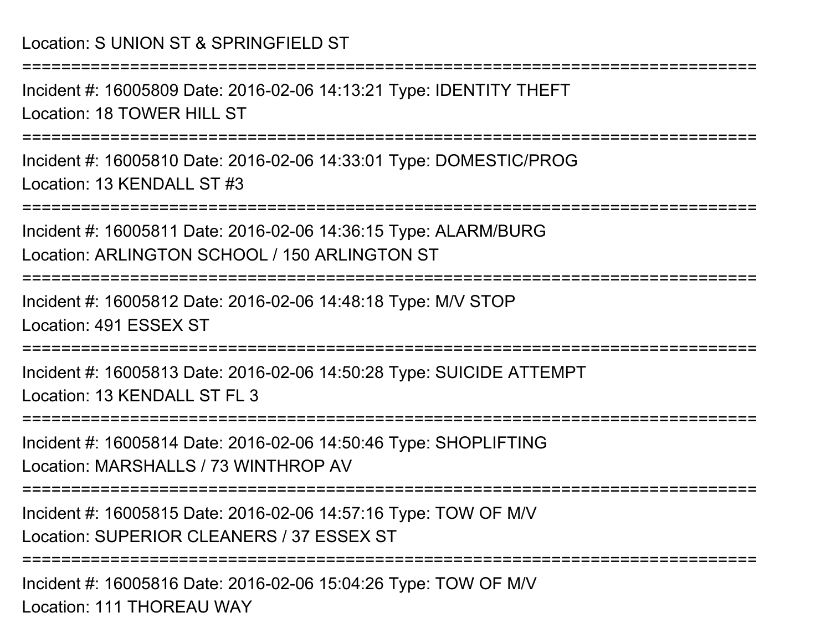Incident #: 16005809 Date: 2016-02-06 14:13:21 Type: IDENTITY THEFTLocation: 18 TOWER HILL ST

===========================================================================

===========================================================================

Incident #: 16005810 Date: 2016-02-06 14:33:01 Type: DOMESTIC/PROGLocation: 13 KENDALL ST #3

===========================================================================

Incident #: 16005811 Date: 2016-02-06 14:36:15 Type: ALARM/BURGLocation: ARLINGTON SCHOOL / 150 ARLINGTON ST

===========================================================================

Incident #: 16005812 Date: 2016-02-06 14:48:18 Type: M/V STOPLocation: 491 ESSEX ST

==============

Incident #: 16005813 Date: 2016-02-06 14:50:28 Type: SUICIDE ATTEMPTLocation: 13 KENDALL ST FL 3

===========================================================================

Incident #: 16005814 Date: 2016-02-06 14:50:46 Type: SHOPLIFTINGLocation: MARSHALLS / 73 WINTHROP AV

===========================================================================

Incident #: 16005815 Date: 2016-02-06 14:57:16 Type: TOW OF M/VLocation: SUPERIOR CLEANERS / 37 ESSEX ST

===========================================================================

Incident #: 16005816 Date: 2016-02-06 15:04:26 Type: TOW OF M/VLocation: 111 THOREAU WAY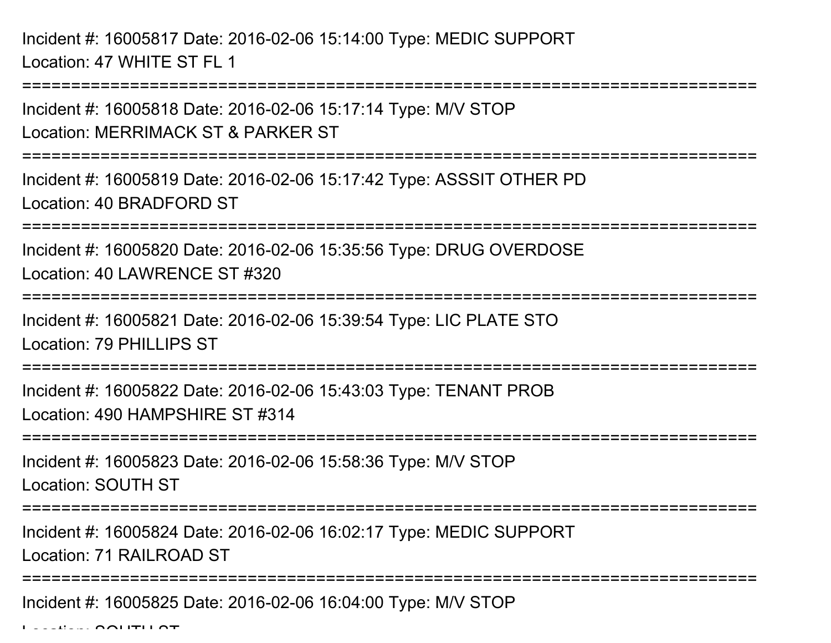Incident #: 16005817 Date: 2016-02-06 15:14:00 Type: MEDIC SUPPORTLocation: 47 WHITE ST FL 1

Incident #: 16005818 Date: 2016-02-06 15:17:14 Type: M/V STOPLocation: MERRIMACK ST & PARKER ST

===========================================================================

===========================================================================

Incident #: 16005819 Date: 2016-02-06 15:17:42 Type: ASSSIT OTHER PDLocation: 40 BRADFORD ST

===========================================================================

Incident #: 16005820 Date: 2016-02-06 15:35:56 Type: DRUG OVERDOSELocation: 40 LAWRENCE ST #320

===========================================================================

Incident #: 16005821 Date: 2016-02-06 15:39:54 Type: LIC PLATE STOLocation: 79 PHILLIPS ST

===========================================================================

Incident #: 16005822 Date: 2016-02-06 15:43:03 Type: TENANT PROBLocation: 490 HAMPSHIRE ST #314

===========================================================================

Incident #: 16005823 Date: 2016-02-06 15:58:36 Type: M/V STOPLocation: SOUTH ST

========================

Incident #: 16005824 Date: 2016-02-06 16:02:17 Type: MEDIC SUPPORTLocation: 71 RAILROAD ST

===============================

Incident #: 16005825 Date: 2016-02-06 16:04:00 Type: M/V STOP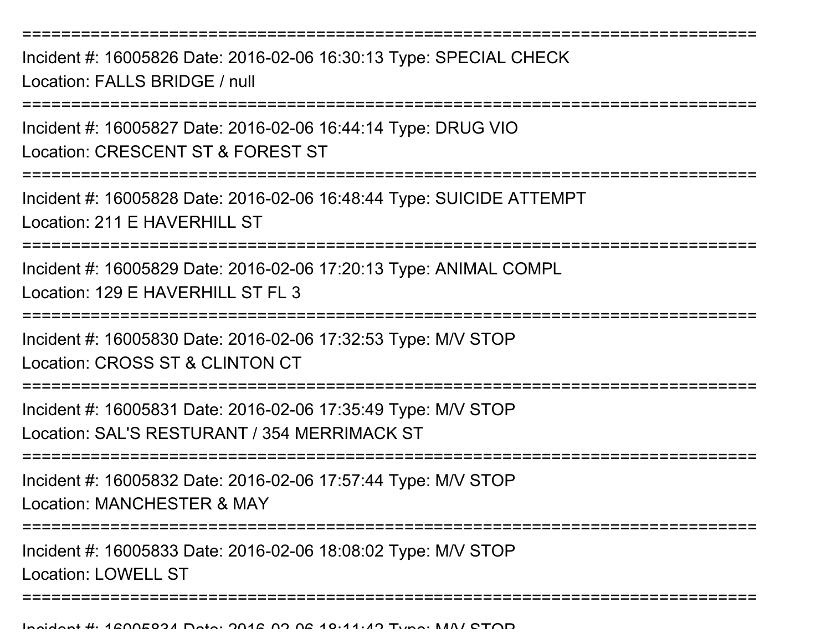Incident #: 16005826 Date: 2016-02-06 16:30:13 Type: SPECIAL CHECKLocation: FALLS BRIDGE / null

===========================================================================

Incident #: 16005827 Date: 2016-02-06 16:44:14 Type: DRUG VIO

Location: CRESCENT ST & FOREST ST

===========================================================================

Incident #: 16005828 Date: 2016-02-06 16:48:44 Type: SUICIDE ATTEMPTLocation: 211 F HAVERHILL ST

===========================================================================

Incident #: 16005829 Date: 2016-02-06 17:20:13 Type: ANIMAL COMPLLocation: 129 E HAVERHILL ST FL 3

===========================================================================

Incident #: 16005830 Date: 2016-02-06 17:32:53 Type: M/V STOPLocation: CROSS ST & CLINTON CT

===========================================================================

Incident #: 16005831 Date: 2016-02-06 17:35:49 Type: M/V STOPLocation: SAL'S RESTURANT / 354 MERRIMACK ST

```
===========================================================================
```
Incident #: 16005832 Date: 2016-02-06 17:57:44 Type: M/V STOPLocation: MANCHESTER & MAY

===========================================================================

Incident #: 16005833 Date: 2016-02-06 18:08:02 Type: M/V STOP

Location: LOWELL ST

===========================================================================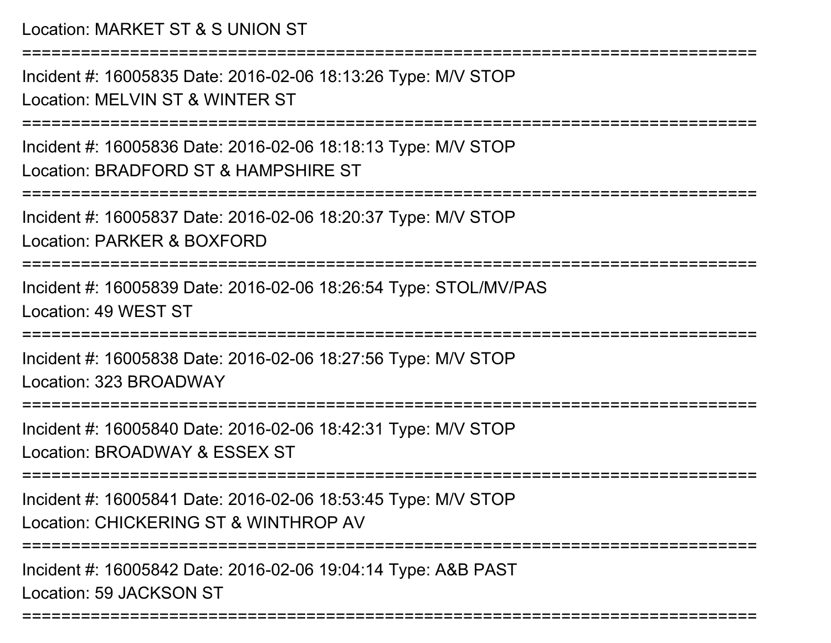Location: MARKET ST & S UNION ST===========================================================================Incident #: 16005835 Date: 2016-02-06 18:13:26 Type: M/V STOPLocation: MELVIN ST & WINTER ST===========================================================================Incident #: 16005836 Date: 2016-02-06 18:18:13 Type: M/V STOPLocation: BRADFORD ST & HAMPSHIRE ST===========================================================================Incident #: 16005837 Date: 2016-02-06 18:20:37 Type: M/V STOPLocation: PARKER & BOXFORD===========================================================================Incident #: 16005839 Date: 2016-02-06 18:26:54 Type: STOL/MV/PASLocation: 49 WEST ST===========================================================================Incident #: 16005838 Date: 2016-02-06 18:27:56 Type: M/V STOPLocation: 323 BROADWAY

===========================================================================

Incident #: 16005840 Date: 2016-02-06 18:42:31 Type: M/V STOPLocation: BROADWAY & ESSEX ST

===========================================================================

Incident #: 16005841 Date: 2016-02-06 18:53:45 Type: M/V STOPLocation: CHICKERING ST & WINTHROP AV

===========================================================================

===========================================================================

Incident #: 16005842 Date: 2016-02-06 19:04:14 Type: A&B PASTLocation: 59 JACKSON ST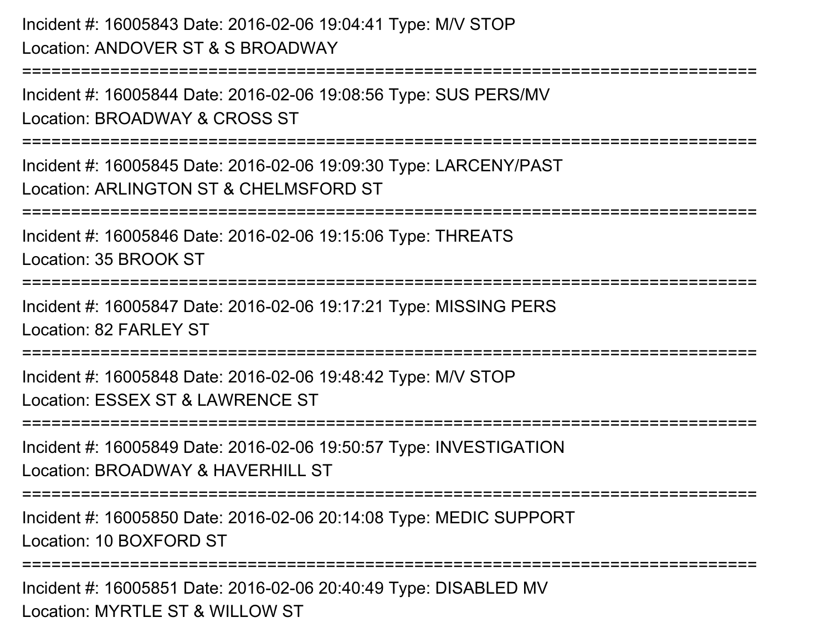Incident #: 16005843 Date: 2016-02-06 19:04:41 Type: M/V STOPLocation: ANDOVER ST & S BROADWAY

Incident #: 16005844 Date: 2016-02-06 19:08:56 Type: SUS PERS/MVLocation: BROADWAY & CROSS ST

===========================================================================

Incident #: 16005845 Date: 2016-02-06 19:09:30 Type: LARCENY/PASTLocation: ARLINGTON ST & CHELMSFORD ST

===========================================================================

Incident #: 16005846 Date: 2016-02-06 19:15:06 Type: THREATS

Location: 35 BROOK ST

===========================================================================

```
========================
```
Incident #: 16005847 Date: 2016-02-06 19:17:21 Type: MISSING PERSLocation: 82 FARL FY ST

=============================

Incident #: 16005848 Date: 2016-02-06 19:48:42 Type: M/V STOPLocation: ESSEX ST & LAWRENCE ST

```
===========================================================================
```
Incident #: 16005849 Date: 2016-02-06 19:50:57 Type: INVESTIGATIONLocation: BROADWAY & HAVERHILL ST

===========================================================================

Incident #: 16005850 Date: 2016-02-06 20:14:08 Type: MEDIC SUPPORTLocation: 10 BOXFORD ST

```
================
```
Incident #: 16005851 Date: 2016-02-06 20:40:49 Type: DISABLED MVLocation: MYRTLE ST & WILLOW ST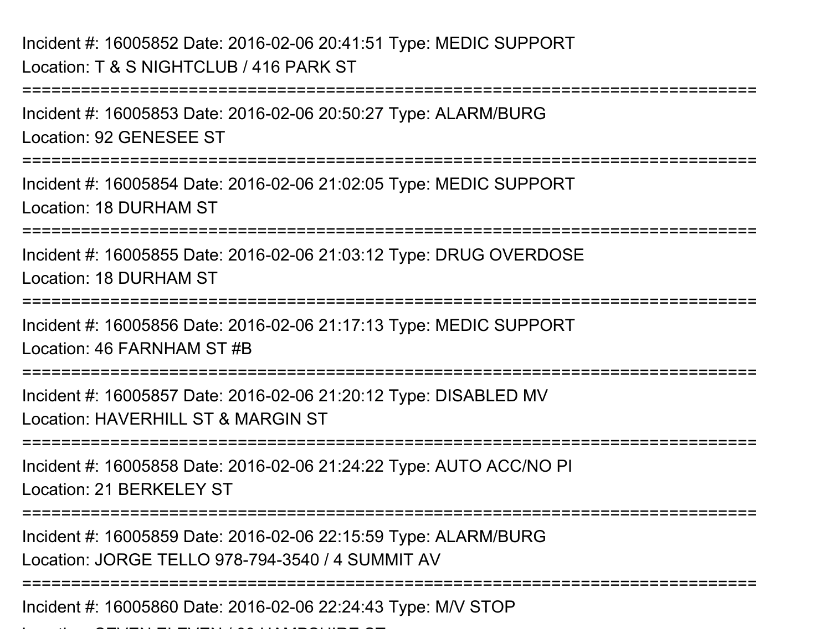Incident #: 16005852 Date: 2016-02-06 20:41:51 Type: MEDIC SUPPORTLocation: T & S NIGHTCLUB / 416 PARK ST

===========================================================================Incident #: 16005853 Date: 2016-02-06 20:50:27 Type: ALARM/BURGLocation: 92 GENESEE ST===========================================================================Incident #: 16005854 Date: 2016-02-06 21:02:05 Type: MEDIC SUPPORTLocation: 18 DURHAM ST============================== Incident #: 16005855 Date: 2016-02-06 21:03:12 Type: DRUG OVERDOSELocation: 18 DURHAM ST===========================================================================Incident #: 16005856 Date: 2016-02-06 21:17:13 Type: MEDIC SUPPORTLocation: 46 FARNHAM ST #B===========================================================================Incident #: 16005857 Date: 2016-02-06 21:20:12 Type: DISABLED MVLocation: HAVERHILL ST & MARGIN ST===========================================================================Incident #: 16005858 Date: 2016-02-06 21:24:22 Type: AUTO ACC/NO PILocation: 21 BERKELEY ST ===========================================================================Incident #: 16005859 Date: 2016-02-06 22:15:59 Type: ALARM/BURGLocation: JORGE TELLO 978-794-3540 / 4 SUMMIT AV===========================================================================

Incident #: 16005860 Date: 2016-02-06 22:24:43 Type: M/V STOP

Location: SEVEN ELEVEN / 99 HAMPSHIRE ST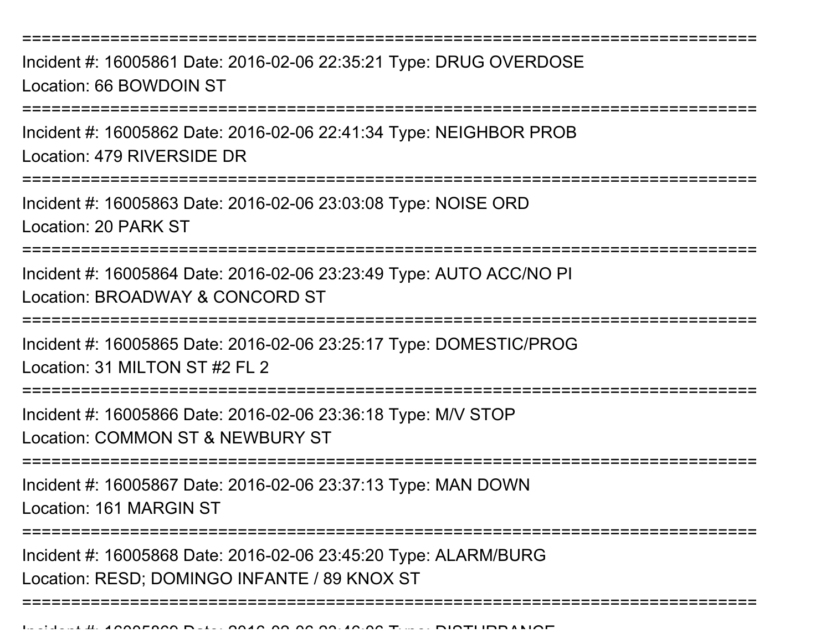Incident #: 16005861 Date: 2016-02-06 22:35:21 Type: DRUG OVERDOSELocation: 66 BOWDOIN ST

===========================================================================

Incident #: 16005862 Date: 2016-02-06 22:41:34 Type: NEIGHBOR PROBLocation: 479 RIVERSIDE DR

===========================================================================

Incident #: 16005863 Date: 2016-02-06 23:03:08 Type: NOISE ORDLocation: 20 PARK ST

========================

Incident #: 16005864 Date: 2016-02-06 23:23:49 Type: AUTO ACC/NO PILocation: BROADWAY & CONCORD ST

===========================================================================

Incident #: 16005865 Date: 2016-02-06 23:25:17 Type: DOMESTIC/PROGLocation: 31 MILTON ST #2 FL 2

===========================================================================

Incident #: 16005866 Date: 2016-02-06 23:36:18 Type: M/V STOPLocation: COMMON ST & NEWBURY ST

===========================================================================

Incident #: 16005867 Date: 2016-02-06 23:37:13 Type: MAN DOWNLocation: 161 MARGIN ST

===========================================================================

===========================================================================

Incident #: 16005868 Date: 2016-02-06 23:45:20 Type: ALARM/BURGLocation: RESD; DOMINGO INFANTE / 89 KNOX ST